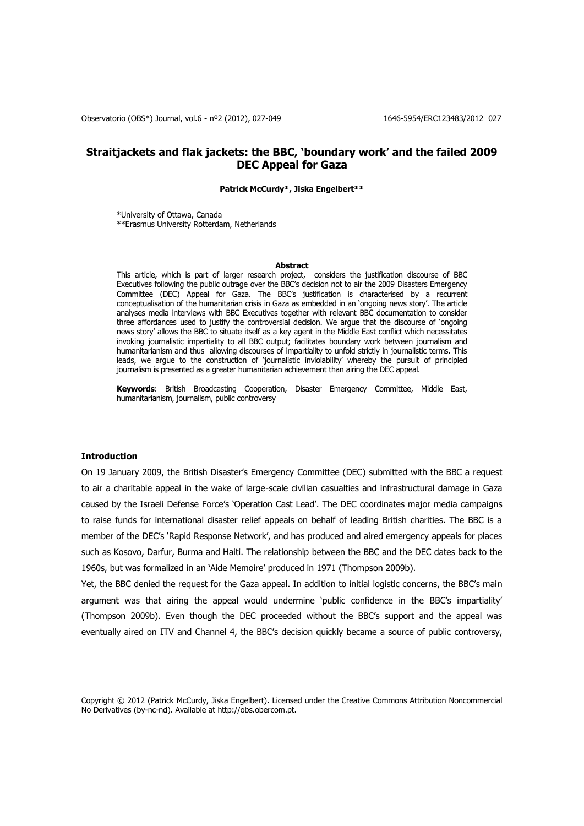# **Straitjackets and flak jackets: the BBC, 'boundary work' and the failed 2009 DEC Appeal for Gaza**

#### **Patrick McCurdy\*, Jiska Engelbert\*\***

\*University of Ottawa, Canada \*\*Erasmus University Rotterdam, Netherlands

#### **Abstract**

This article, which is part of larger research project, considers the justification discourse of BBC Executives following the public outrage over the BBC's decision not to air the 2009 Disasters Emergency Committee (DEC) Appeal for Gaza. The BBC's justification is characterised by a recurrent conceptualisation of the humanitarian crisis in Gaza as embedded in an 'ongoing news story'. The article analyses media interviews with BBC Executives together with relevant BBC documentation to consider three affordances used to justify the controversial decision. We argue that the discourse of 'ongoing news story' allows the BBC to situate itself as a key agent in the Middle East conflict which necessitates invoking journalistic impartiality to all BBC output; facilitates boundary work between journalism and humanitarianism and thus allowing discourses of impartiality to unfold strictly in journalistic terms. This leads, we argue to the construction of 'journalistic inviolability' whereby the pursuit of principled journalism is presented as a greater humanitarian achievement than airing the DEC appeal.

**Keywords**: British Broadcasting Cooperation, Disaster Emergency Committee, Middle East, humanitarianism, journalism, public controversy

#### **Introduction**

On 19 January 2009, the British Disaster's Emergency Committee (DEC) submitted with the BBC a request to air a charitable appeal in the wake of large-scale civilian casualties and infrastructural damage in Gaza caused by the Israeli Defense Force's 'Operation Cast Lead'. The DEC coordinates major media campaigns to raise funds for international disaster relief appeals on behalf of leading British charities. The BBC is a member of the DEC's 'Rapid Response Network', and has produced and aired emergency appeals for places such as Kosovo, Darfur, Burma and Haiti. The relationship between the BBC and the DEC dates back to the 1960s, but was formalized in an 'Aide Memoire' produced in 1971 (Thompson 2009b).

Yet, the BBC denied the request for the Gaza appeal. In addition to initial logistic concerns, the BBC's main argument was that airing the appeal would undermine 'public confidence in the BBC's impartiality' (Thompson 2009b). Even though the DEC proceeded without the BBC's support and the appeal was eventually aired on ITV and Channel 4, the BBC's decision quickly became a source of public controversy,

Copyright © 2012 (Patrick McCurdy, Jiska Engelbert). Licensed under the Creative Commons Attribution Noncommercial No Derivatives (by-nc-nd). Available at http://obs.obercom.pt.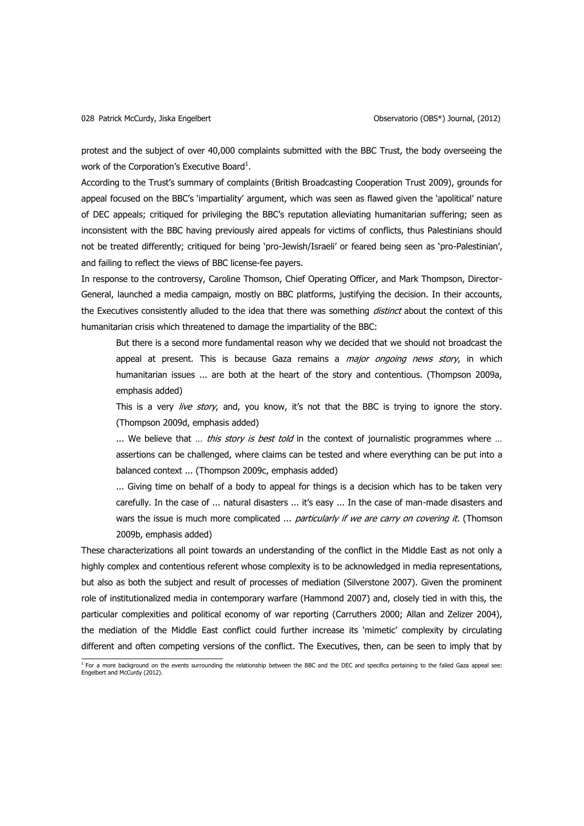protest and the subject of over 40,000 complaints submitted with the BBC Trust, the body overseeing the work of the Corporation's Executive Board<sup>1</sup>.

According to the Trust's summary of complaints (British Broadcasting Cooperation Trust 2009), grounds for appeal focused on the BBC's 'impartiality' argument, which was seen as flawed given the 'apolitical' nature of DEC appeals; critiqued for privileging the BBC's reputation alleviating humanitarian suffering; seen as inconsistent with the BBC having previously aired appeals for victims of conflicts, thus Palestinians should not be treated differently; critiqued for being 'pro-Jewish/Israeli' or feared being seen as 'pro-Palestinian', and failing to reflect the views of BBC license-fee payers.

In response to the controversy, Caroline Thomson, Chief Operating Officer, and Mark Thompson, Director-General, launched a media campaign, mostly on BBC platforms, justifying the decision. In their accounts, the Executives consistently alluded to the idea that there was something *distinct* about the context of this humanitarian crisis which threatened to damage the impartiality of the BBC:

But there is a second more fundamental reason why we decided that we should not broadcast the appeal at present. This is because Gaza remains a *major ongoing news story*, in which humanitarian issues ... are both at the heart of the story and contentious. (Thompson 2009a, emphasis added)

This is a very live story, and, you know, it's not that the BBC is trying to ignore the story. (Thompson 2009d, emphasis added)

... We believe that ... *this story is best told* in the context of journalistic programmes where ... assertions can be challenged, where claims can be tested and where everything can be put into a balanced context ... (Thompson 2009c, emphasis added)

... Giving time on behalf of a body to appeal for things is a decision which has to be taken very carefully. In the case of ... natural disasters ... it's easy ... In the case of man-made disasters and wars the issue is much more complicated ... *particularly if we are carry on covering it*. (Thomson 2009b, emphasis added)

These characterizations all point towards an understanding of the conflict in the Middle East as not only a highly complex and contentious referent whose complexity is to be acknowledged in media representations, but also as both the subject and result of processes of mediation (Silverstone 2007). Given the prominent role of institutionalized media in contemporary warfare (Hammond 2007) and, closely tied in with this, the particular complexities and political economy of war reporting (Carruthers 2000; Allan and Zelizer 2004), the mediation of the Middle East conflict could further increase its 'mimetic' complexity by circulating different and often competing versions of the conflict. The Executives, then, can be seen to imply that by

<sup>&</sup>lt;sup>1</sup> For a more background on the events surrounding the relationship between the BBC and the DEC and specifics pertaining to the failed Gaza appeal see:<br>Engelbert and McCurdy (2012).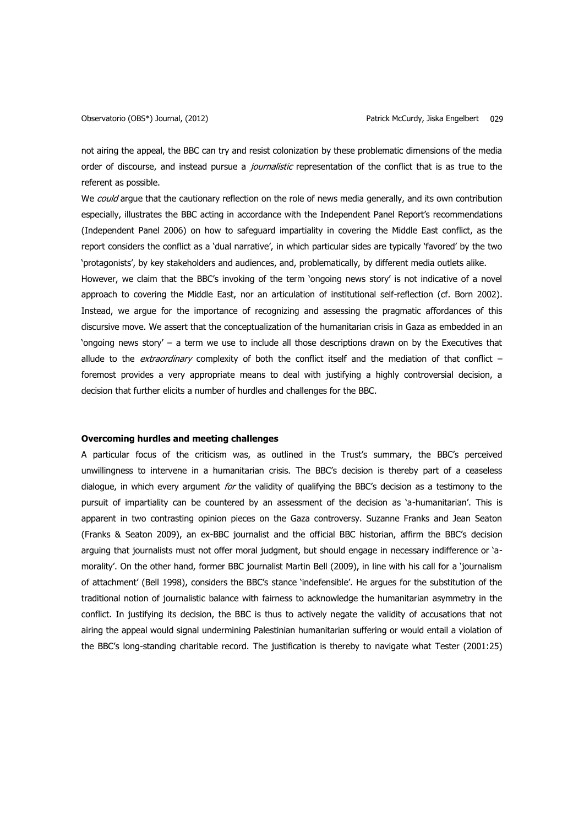not airing the appeal, the BBC can try and resist colonization by these problematic dimensions of the media order of discourse, and instead pursue a *journalistic* representation of the conflict that is as true to the referent as possible.

We could argue that the cautionary reflection on the role of news media generally, and its own contribution especially, illustrates the BBC acting in accordance with the Independent Panel Report's recommendations (Independent Panel 2006) on how to safeguard impartiality in covering the Middle East conflict, as the report considers the conflict as a 'dual narrative', in which particular sides are typically 'favored' by the two 'protagonists', by key stakeholders and audiences, and, problematically, by different media outlets alike.

However, we claim that the BBC's invoking of the term 'ongoing news story' is not indicative of a novel approach to covering the Middle East, nor an articulation of institutional self-reflection (cf. Born 2002). Instead, we argue for the importance of recognizing and assessing the pragmatic affordances of this discursive move. We assert that the conceptualization of the humanitarian crisis in Gaza as embedded in an 'ongoing news story' – a term we use to include all those descriptions drawn on by the Executives that allude to the *extraordinary* complexity of both the conflict itself and the mediation of that conflict  $$ foremost provides a very appropriate means to deal with justifying a highly controversial decision, a decision that further elicits a number of hurdles and challenges for the BBC.

# **Overcoming hurdles and meeting challenges**

A particular focus of the criticism was, as outlined in the Trust's summary, the BBC's perceived unwillingness to intervene in a humanitarian crisis. The BBC's decision is thereby part of a ceaseless dialogue, in which every argument for the validity of qualifying the BBC's decision as a testimony to the pursuit of impartiality can be countered by an assessment of the decision as 'a-humanitarian'. This is apparent in two contrasting opinion pieces on the Gaza controversy. Suzanne Franks and Jean Seaton (Franks & Seaton 2009), an ex-BBC journalist and the official BBC historian, affirm the BBC's decision arguing that journalists must not offer moral judgment, but should engage in necessary indifference or 'amorality'. On the other hand, former BBC journalist Martin Bell (2009), in line with his call for a 'journalism of attachment' (Bell 1998), considers the BBC's stance 'indefensible'. He argues for the substitution of the traditional notion of journalistic balance with fairness to acknowledge the humanitarian asymmetry in the conflict. In justifying its decision, the BBC is thus to actively negate the validity of accusations that not airing the appeal would signal undermining Palestinian humanitarian suffering or would entail a violation of the BBC's long-standing charitable record. The justification is thereby to navigate what Tester (2001:25)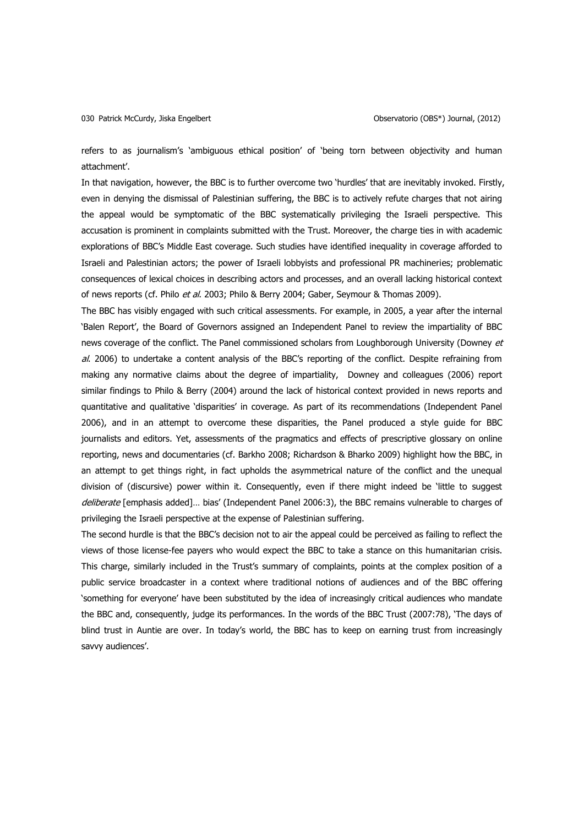refers to as journalism's 'ambiguous ethical position' of 'being torn between objectivity and human attachment'.

In that navigation, however, the BBC is to further overcome two 'hurdles' that are inevitably invoked. Firstly, even in denying the dismissal of Palestinian suffering, the BBC is to actively refute charges that not airing the appeal would be symptomatic of the BBC systematically privileging the Israeli perspective. This accusation is prominent in complaints submitted with the Trust. Moreover, the charge ties in with academic explorations of BBC's Middle East coverage. Such studies have identified inequality in coverage afforded to Israeli and Palestinian actors; the power of Israeli lobbyists and professional PR machineries; problematic consequences of lexical choices in describing actors and processes, and an overall lacking historical context of news reports (cf. Philo et al. 2003; Philo & Berry 2004; Gaber, Seymour & Thomas 2009).

The BBC has visibly engaged with such critical assessments. For example, in 2005, a year after the internal 'Balen Report', the Board of Governors assigned an Independent Panel to review the impartiality of BBC news coverage of the conflict. The Panel commissioned scholars from Loughborough University (Downey et  $a$ . 2006) to undertake a content analysis of the BBC's reporting of the conflict. Despite refraining from making any normative claims about the degree of impartiality, Downey and colleagues (2006) report similar findings to Philo & Berry (2004) around the lack of historical context provided in news reports and quantitative and qualitative 'disparities' in coverage. As part of its recommendations (Independent Panel 2006), and in an attempt to overcome these disparities, the Panel produced a style guide for BBC journalists and editors. Yet, assessments of the pragmatics and effects of prescriptive glossary on online reporting, news and documentaries (cf. Barkho 2008; Richardson & Bharko 2009) highlight how the BBC, in an attempt to get things right, in fact upholds the asymmetrical nature of the conflict and the unequal division of (discursive) power within it. Consequently, even if there might indeed be 'little to suggest deliberate [emphasis added]... bias' (Independent Panel 2006:3), the BBC remains vulnerable to charges of privileging the Israeli perspective at the expense of Palestinian suffering.

The second hurdle is that the BBC's decision not to air the appeal could be perceived as failing to reflect the views of those license-fee payers who would expect the BBC to take a stance on this humanitarian crisis. This charge, similarly included in the Trust's summary of complaints, points at the complex position of a public service broadcaster in a context where traditional notions of audiences and of the BBC offering 'something for everyone' have been substituted by the idea of increasingly critical audiences who mandate the BBC and, consequently, judge its performances. In the words of the BBC Trust (2007:78), 'The days of blind trust in Auntie are over. In today's world, the BBC has to keep on earning trust from increasingly savvy audiences'.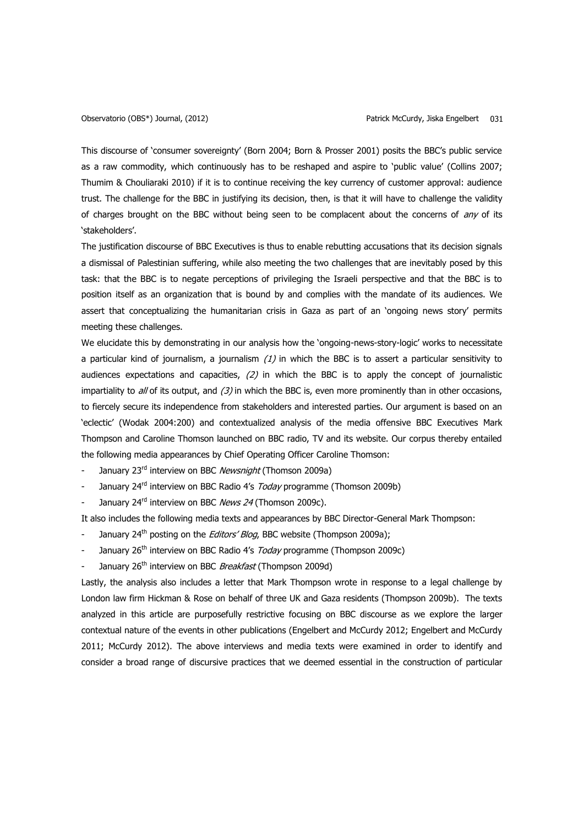This discourse of 'consumer sovereignty' (Born 2004; Born & Prosser 2001) posits the BBC's public service as a raw commodity, which continuously has to be reshaped and aspire to 'public value' (Collins 2007; Thumim & Chouliaraki 2010) if it is to continue receiving the key currency of customer approval: audience trust. The challenge for the BBC in justifying its decision, then, is that it will have to challenge the validity of charges brought on the BBC without being seen to be complacent about the concerns of any of its 'stakeholders'.

The justification discourse of BBC Executives is thus to enable rebutting accusations that its decision signals a dismissal of Palestinian suffering, while also meeting the two challenges that are inevitably posed by this task: that the BBC is to negate perceptions of privileging the Israeli perspective and that the BBC is to position itself as an organization that is bound by and complies with the mandate of its audiences. We assert that conceptualizing the humanitarian crisis in Gaza as part of an 'ongoing news story' permits meeting these challenges.

We elucidate this by demonstrating in our analysis how the 'ongoing-news-story-logic' works to necessitate a particular kind of journalism, a journalism  $(1)$  in which the BBC is to assert a particular sensitivity to audiences expectations and capacities,  $(2)$  in which the BBC is to apply the concept of journalistic impartiality to  $a$ // of its output, and  $(3)$  in which the BBC is, even more prominently than in other occasions, to fiercely secure its independence from stakeholders and interested parties. Our argument is based on an 'eclectic' (Wodak 2004:200) and contextualized analysis of the media offensive BBC Executives Mark Thompson and Caroline Thomson launched on BBC radio, TV and its website. Our corpus thereby entailed the following media appearances by Chief Operating Officer Caroline Thomson:

- January 23<sup>rd</sup> interview on BBC Newsnight (Thomson 2009a)
- January 24<sup>rd</sup> interview on BBC Radio 4's *Today* programme (Thomson 2009b)
- January 24<sup>rd</sup> interview on BBC News 24 (Thomson 2009c).

It also includes the following media texts and appearances by BBC Director-General Mark Thompson:

- January 24<sup>th</sup> posting on the *Editors' Blog*, BBC website (Thompson 2009a);
- January 26<sup>th</sup> interview on BBC Radio 4's *Today* programme (Thompson 2009c)
- January 26<sup>th</sup> interview on BBC Breakfast (Thompson 2009d)

Lastly, the analysis also includes a letter that Mark Thompson wrote in response to a legal challenge by London law firm Hickman & Rose on behalf of three UK and Gaza residents (Thompson 2009b). The texts analyzed in this article are purposefully restrictive focusing on BBC discourse as we explore the larger contextual nature of the events in other publications (Engelbert and McCurdy 2012; Engelbert and McCurdy 2011; McCurdy 2012). The above interviews and media texts were examined in order to identify and consider a broad range of discursive practices that we deemed essential in the construction of particular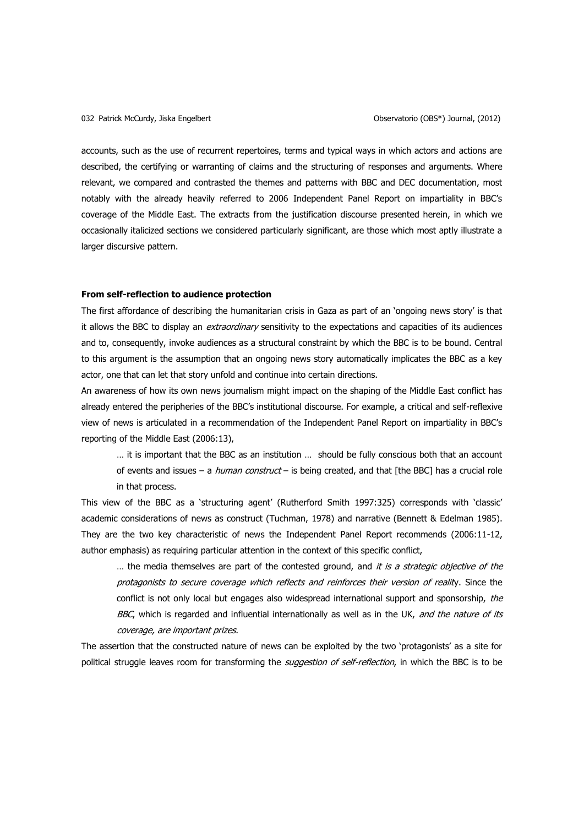accounts, such as the use of recurrent repertoires, terms and typical ways in which actors and actions are described, the certifying or warranting of claims and the structuring of responses and arguments. Where relevant, we compared and contrasted the themes and patterns with BBC and DEC documentation, most notably with the already heavily referred to 2006 Independent Panel Report on impartiality in BBC's coverage of the Middle East. The extracts from the justification discourse presented herein, in which we occasionally italicized sections we considered particularly significant, are those which most aptly illustrate a larger discursive pattern.

# **From self-reflection to audience protection**

The first affordance of describing the humanitarian crisis in Gaza as part of an 'ongoing news story' is that it allows the BBC to display an *extraordinary* sensitivity to the expectations and capacities of its audiences and to, consequently, invoke audiences as a structural constraint by which the BBC is to be bound. Central to this argument is the assumption that an ongoing news story automatically implicates the BBC as a key actor, one that can let that story unfold and continue into certain directions.

An awareness of how its own news journalism might impact on the shaping of the Middle East conflict has already entered the peripheries of the BBC's institutional discourse. For example, a critical and self-reflexive view of news is articulated in a recommendation of the Independent Panel Report on impartiality in BBC's reporting of the Middle East (2006:13),

… it is important that the BBC as an institution … should be fully conscious both that an account of events and issues – a *human construct* – is being created, and that [the BBC] has a crucial role in that process.

This view of the BBC as a 'structuring agent' (Rutherford Smith 1997:325) corresponds with 'classic' academic considerations of news as construct (Tuchman, 1978) and narrative (Bennett & Edelman 1985). They are the two key characteristic of news the Independent Panel Report recommends (2006:11-12, author emphasis) as requiring particular attention in the context of this specific conflict,

... the media themselves are part of the contested ground, and it is a strategic objective of the protagonists to secure coverage which reflects and reinforces their version of reality. Since the conflict is not only local but engages also widespread international support and sponsorship, the BBC, which is regarded and influential internationally as well as in the UK, and the nature of its coverage, are important prizes.

The assertion that the constructed nature of news can be exploited by the two 'protagonists' as a site for political struggle leaves room for transforming the *suggestion of self-reflection*, in which the BBC is to be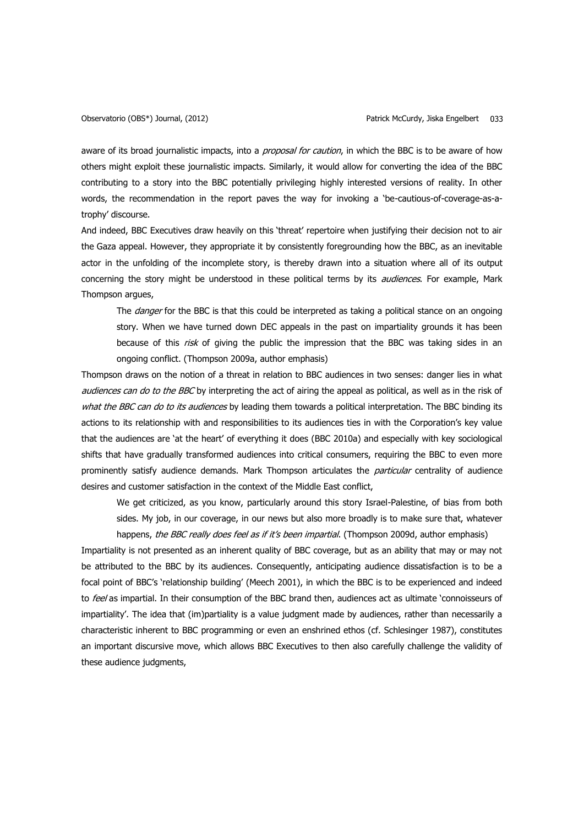aware of its broad journalistic impacts, into a *proposal for caution*, in which the BBC is to be aware of how others might exploit these journalistic impacts. Similarly, it would allow for converting the idea of the BBC contributing to a story into the BBC potentially privileging highly interested versions of reality. In other words, the recommendation in the report paves the way for invoking a 'be-cautious-of-coverage-as-atrophy' discourse.

And indeed, BBC Executives draw heavily on this 'threat' repertoire when justifying their decision not to air the Gaza appeal. However, they appropriate it by consistently foregrounding how the BBC, as an inevitable actor in the unfolding of the incomplete story, is thereby drawn into a situation where all of its output concerning the story might be understood in these political terms by its *audiences*. For example, Mark Thompson argues,

The *danger* for the BBC is that this could be interpreted as taking a political stance on an ongoing story. When we have turned down DEC appeals in the past on impartiality grounds it has been because of this *risk* of giving the public the impression that the BBC was taking sides in an ongoing conflict. (Thompson 2009a, author emphasis)

Thompson draws on the notion of a threat in relation to BBC audiences in two senses: danger lies in what audiences can do to the BBC by interpreting the act of airing the appeal as political, as well as in the risk of what the BBC can do to its audiences by leading them towards a political interpretation. The BBC binding its actions to its relationship with and responsibilities to its audiences ties in with the Corporation's key value that the audiences are 'at the heart' of everything it does (BBC 2010a) and especially with key sociological shifts that have gradually transformed audiences into critical consumers, requiring the BBC to even more prominently satisfy audience demands. Mark Thompson articulates the *particular* centrality of audience desires and customer satisfaction in the context of the Middle East conflict,

We get criticized, as you know, particularly around this story Israel-Palestine, of bias from both sides. My job, in our coverage, in our news but also more broadly is to make sure that, whatever happens, the BBC really does feel as if it's been impartial. (Thompson 2009d, author emphasis)

Impartiality is not presented as an inherent quality of BBC coverage, but as an ability that may or may not be attributed to the BBC by its audiences. Consequently, anticipating audience dissatisfaction is to be a focal point of BBC's 'relationship building' (Meech 2001), in which the BBC is to be experienced and indeed to feel as impartial. In their consumption of the BBC brand then, audiences act as ultimate 'connoisseurs of impartiality'. The idea that (im)partiality is a value judgment made by audiences, rather than necessarily a characteristic inherent to BBC programming or even an enshrined ethos (cf. Schlesinger 1987), constitutes an important discursive move, which allows BBC Executives to then also carefully challenge the validity of these audience judgments,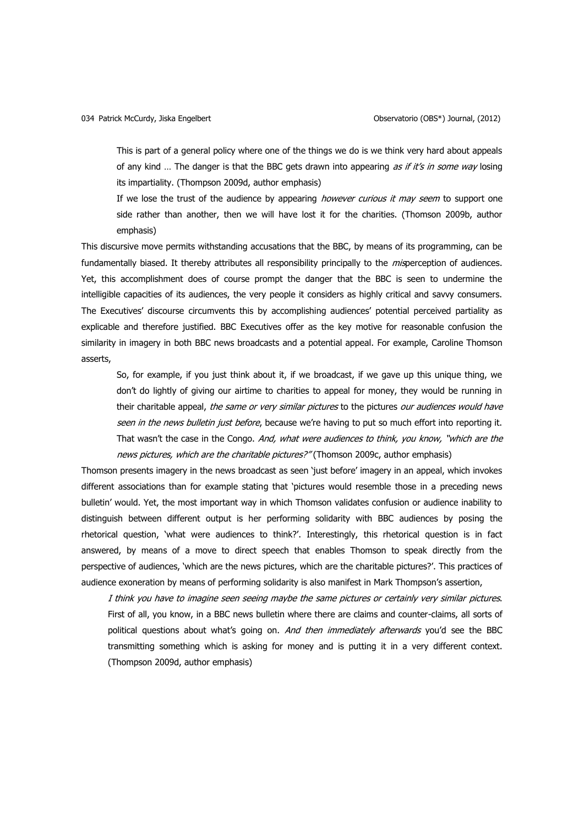This is part of a general policy where one of the things we do is we think very hard about appeals of any kind ... The danger is that the BBC gets drawn into appearing as if it's in some way losing its impartiality. (Thompson 2009d, author emphasis)

If we lose the trust of the audience by appearing however curious it may seem to support one side rather than another, then we will have lost it for the charities. (Thomson 2009b, author emphasis)

This discursive move permits withstanding accusations that the BBC, by means of its programming, can be fundamentally biased. It thereby attributes all responsibility principally to the *mis*perception of audiences. Yet, this accomplishment does of course prompt the danger that the BBC is seen to undermine the intelligible capacities of its audiences, the very people it considers as highly critical and savvy consumers. The Executives' discourse circumvents this by accomplishing audiences' potential perceived partiality as explicable and therefore justified. BBC Executives offer as the key motive for reasonable confusion the similarity in imagery in both BBC news broadcasts and a potential appeal. For example, Caroline Thomson asserts,

So, for example, if you just think about it, if we broadcast, if we gave up this unique thing, we don't do lightly of giving our airtime to charities to appeal for money, they would be running in their charitable appeal, the same or very similar pictures to the pictures our audiences would have seen in the news bulletin just before, because we're having to put so much effort into reporting it. That wasn't the case in the Congo. And, what were audiences to think, you know, "which are the news pictures, which are the charitable pictures?" (Thomson 2009c, author emphasis)

Thomson presents imagery in the news broadcast as seen 'just before' imagery in an appeal, which invokes different associations than for example stating that 'pictures would resemble those in a preceding news bulletin' would. Yet, the most important way in which Thomson validates confusion or audience inability to distinguish between different output is her performing solidarity with BBC audiences by posing the rhetorical question, 'what were audiences to think?'. Interestingly, this rhetorical question is in fact answered, by means of a move to direct speech that enables Thomson to speak directly from the perspective of audiences, 'which are the news pictures, which are the charitable pictures?'. This practices of audience exoneration by means of performing solidarity is also manifest in Mark Thompson's assertion,

I think you have to imagine seen seeing maybe the same pictures or certainly very similar pictures. First of all, you know, in a BBC news bulletin where there are claims and counter-claims, all sorts of political questions about what's going on. And then immediately afterwards you'd see the BBC transmitting something which is asking for money and is putting it in a very different context. (Thompson 2009d, author emphasis)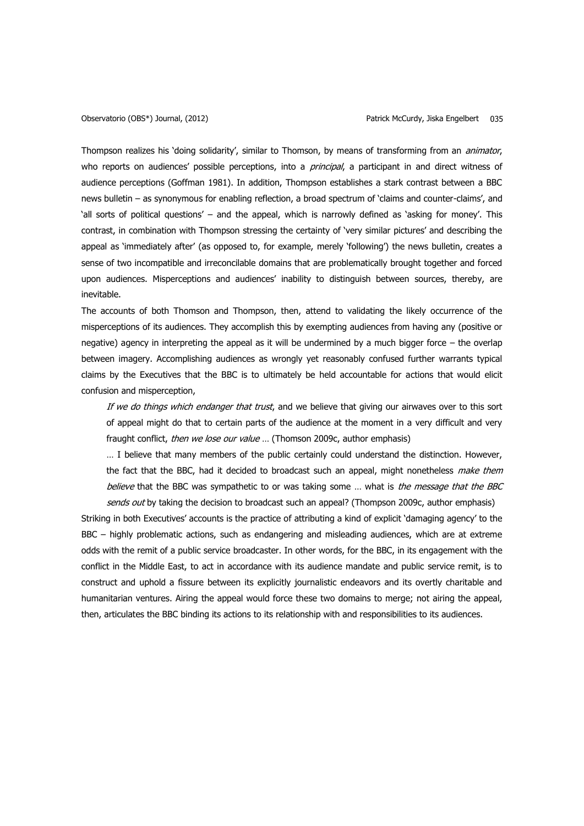Thompson realizes his 'doing solidarity', similar to Thomson, by means of transforming from an *animator*, who reports on audiences' possible perceptions, into a *principal*, a participant in and direct witness of audience perceptions (Goffman 1981). In addition, Thompson establishes a stark contrast between a BBC news bulletin – as synonymous for enabling reflection, a broad spectrum of 'claims and counter-claims', and 'all sorts of political questions' – and the appeal, which is narrowly defined as 'asking for money'. This contrast, in combination with Thompson stressing the certainty of 'very similar pictures' and describing the appeal as 'immediately after' (as opposed to, for example, merely 'following') the news bulletin, creates a sense of two incompatible and irreconcilable domains that are problematically brought together and forced upon audiences. Misperceptions and audiences' inability to distinguish between sources, thereby, are inevitable.

The accounts of both Thomson and Thompson, then, attend to validating the likely occurrence of the misperceptions of its audiences. They accomplish this by exempting audiences from having any (positive or negative) agency in interpreting the appeal as it will be undermined by a much bigger force – the overlap between imagery. Accomplishing audiences as wrongly yet reasonably confused further warrants typical claims by the Executives that the BBC is to ultimately be held accountable for actions that would elicit confusion and misperception,

If we do things which endanger that trust, and we believe that giving our airwaves over to this sort of appeal might do that to certain parts of the audience at the moment in a very difficult and very fraught conflict, *then we lose our value* ... (Thomson 2009c, author emphasis)

… I believe that many members of the public certainly could understand the distinction. However, the fact that the BBC, had it decided to broadcast such an appeal, might nonetheless make them believe that the BBC was sympathetic to or was taking some ... what is the message that the BBC

sends out by taking the decision to broadcast such an appeal? (Thompson 2009c, author emphasis) Striking in both Executives' accounts is the practice of attributing a kind of explicit 'damaging agency' to the BBC – highly problematic actions, such as endangering and misleading audiences, which are at extreme odds with the remit of a public service broadcaster. In other words, for the BBC, in its engagement with the conflict in the Middle East, to act in accordance with its audience mandate and public service remit, is to construct and uphold a fissure between its explicitly journalistic endeavors and its overtly charitable and humanitarian ventures. Airing the appeal would force these two domains to merge; not airing the appeal, then, articulates the BBC binding its actions to its relationship with and responsibilities to its audiences.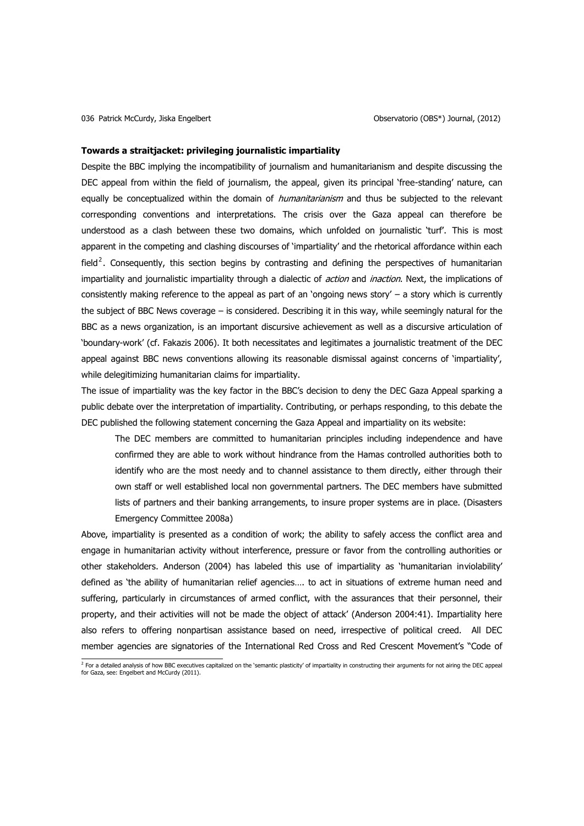#### **Towards a straitjacket: privileging journalistic impartiality**

Despite the BBC implying the incompatibility of journalism and humanitarianism and despite discussing the DEC appeal from within the field of journalism, the appeal, given its principal 'free-standing' nature, can equally be conceptualized within the domain of *humanitarianism* and thus be subjected to the relevant corresponding conventions and interpretations. The crisis over the Gaza appeal can therefore be understood as a clash between these two domains, which unfolded on journalistic 'turf'. This is most apparent in the competing and clashing discourses of 'impartiality' and the rhetorical affordance within each field<sup>2</sup>. Consequently, this section begins by contrasting and defining the perspectives of humanitarian impartiality and journalistic impartiality through a dialectic of *action* and *inaction*. Next, the implications of consistently making reference to the appeal as part of an 'ongoing news story'  $-$  a story which is currently the subject of BBC News coverage – is considered. Describing it in this way, while seemingly natural for the BBC as a news organization, is an important discursive achievement as well as a discursive articulation of 'boundary-work' (cf. Fakazis 2006). It both necessitates and legitimates a journalistic treatment of the DEC appeal against BBC news conventions allowing its reasonable dismissal against concerns of 'impartiality', while delegitimizing humanitarian claims for impartiality.

The issue of impartiality was the key factor in the BBC's decision to deny the DEC Gaza Appeal sparking a public debate over the interpretation of impartiality. Contributing, or perhaps responding, to this debate the DEC published the following statement concerning the Gaza Appeal and impartiality on its website:

The DEC members are committed to humanitarian principles including independence and have confirmed they are able to work without hindrance from the Hamas controlled authorities both to identify who are the most needy and to channel assistance to them directly, either through their own staff or well established local non governmental partners. The DEC members have submitted lists of partners and their banking arrangements, to insure proper systems are in place. (Disasters Emergency Committee 2008a)

Above, impartiality is presented as a condition of work; the ability to safely access the conflict area and engage in humanitarian activity without interference, pressure or favor from the controlling authorities or other stakeholders. Anderson (2004) has labeled this use of impartiality as 'humanitarian inviolability' defined as 'the ability of humanitarian relief agencies…. to act in situations of extreme human need and suffering, particularly in circumstances of armed conflict, with the assurances that their personnel, their property, and their activities will not be made the object of attack' (Anderson 2004:41). Impartiality here also refers to offering nonpartisan assistance based on need, irrespective of political creed. All DEC member agencies are signatories of the International Red Cross and Red Crescent Movement's "Code of

<sup>&</sup>lt;sup>2</sup> For a detailed analysis of how BBC executives capitalized on the `semantic plasticity' of impartiality in constructing their arguments for not airing the DEC appeal<br>for Gaza, see: Engelbert and McCurdy (2011).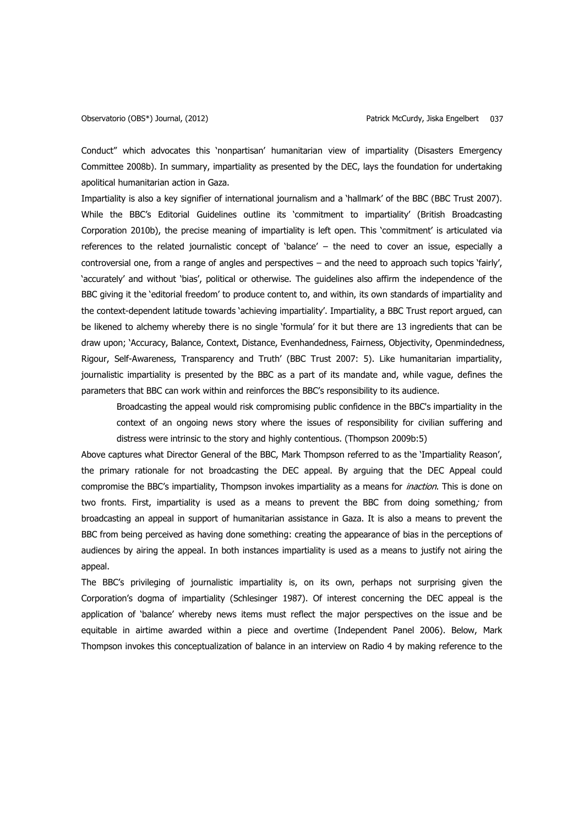Conduct" which advocates this 'nonpartisan' humanitarian view of impartiality (Disasters Emergency Committee 2008b). In summary, impartiality as presented by the DEC, lays the foundation for undertaking apolitical humanitarian action in Gaza.

Impartiality is also a key signifier of international journalism and a 'hallmark' of the BBC (BBC Trust 2007). While the BBC's Editorial Guidelines outline its 'commitment to impartiality' (British Broadcasting Corporation 2010b), the precise meaning of impartiality is left open. This 'commitment' is articulated via references to the related journalistic concept of 'balance' – the need to cover an issue, especially a controversial one, from a range of angles and perspectives – and the need to approach such topics 'fairly', 'accurately' and without 'bias', political or otherwise. The guidelines also affirm the independence of the BBC giving it the 'editorial freedom' to produce content to, and within, its own standards of impartiality and the context-dependent latitude towards 'achieving impartiality'. Impartiality, a BBC Trust report argued, can be likened to alchemy whereby there is no single 'formula' for it but there are 13 ingredients that can be draw upon; 'Accuracy, Balance, Context, Distance, Evenhandedness, Fairness, Objectivity, Openmindedness, Rigour, Self-Awareness, Transparency and Truth' (BBC Trust 2007: 5). Like humanitarian impartiality, journalistic impartiality is presented by the BBC as a part of its mandate and, while vague, defines the parameters that BBC can work within and reinforces the BBC's responsibility to its audience.

Broadcasting the appeal would risk compromising public confidence in the BBC's impartiality in the context of an ongoing news story where the issues of responsibility for civilian suffering and distress were intrinsic to the story and highly contentious. (Thompson 2009b:5)

Above captures what Director General of the BBC, Mark Thompson referred to as the 'Impartiality Reason', the primary rationale for not broadcasting the DEC appeal. By arguing that the DEC Appeal could compromise the BBC's impartiality, Thompson invokes impartiality as a means for *inaction*. This is done on two fronts. First, impartiality is used as a means to prevent the BBC from doing something; from broadcasting an appeal in support of humanitarian assistance in Gaza. It is also a means to prevent the BBC from being perceived as having done something: creating the appearance of bias in the perceptions of audiences by airing the appeal. In both instances impartiality is used as a means to justify not airing the appeal.

The BBC's privileging of journalistic impartiality is, on its own, perhaps not surprising given the Corporation's dogma of impartiality (Schlesinger 1987). Of interest concerning the DEC appeal is the application of 'balance' whereby news items must reflect the major perspectives on the issue and be equitable in airtime awarded within a piece and overtime (Independent Panel 2006). Below, Mark Thompson invokes this conceptualization of balance in an interview on Radio 4 by making reference to the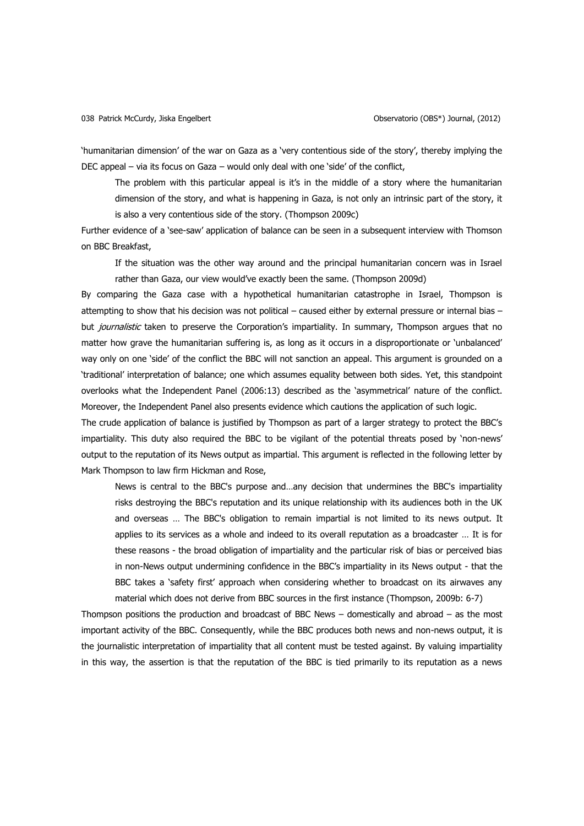'humanitarian dimension' of the war on Gaza as a 'very contentious side of the story', thereby implying the DEC appeal – via its focus on Gaza – would only deal with one 'side' of the conflict,

The problem with this particular appeal is it's in the middle of a story where the humanitarian dimension of the story, and what is happening in Gaza, is not only an intrinsic part of the story, it is also a very contentious side of the story. (Thompson 2009c)

Further evidence of a 'see-saw' application of balance can be seen in a subsequent interview with Thomson on BBC Breakfast,

If the situation was the other way around and the principal humanitarian concern was in Israel rather than Gaza, our view would've exactly been the same. (Thompson 2009d)

By comparing the Gaza case with a hypothetical humanitarian catastrophe in Israel, Thompson is attempting to show that his decision was not political – caused either by external pressure or internal bias – but *journalistic* taken to preserve the Corporation's impartiality. In summary, Thompson argues that no matter how grave the humanitarian suffering is, as long as it occurs in a disproportionate or 'unbalanced' way only on one 'side' of the conflict the BBC will not sanction an appeal. This argument is grounded on a 'traditional' interpretation of balance; one which assumes equality between both sides. Yet, this standpoint overlooks what the Independent Panel (2006:13) described as the 'asymmetrical' nature of the conflict. Moreover, the Independent Panel also presents evidence which cautions the application of such logic.

The crude application of balance is justified by Thompson as part of a larger strategy to protect the BBC's impartiality. This duty also required the BBC to be vigilant of the potential threats posed by 'non-news' output to the reputation of its News output as impartial. This argument is reflected in the following letter by Mark Thompson to law firm Hickman and Rose,

News is central to the BBC's purpose and…any decision that undermines the BBC's impartiality risks destroying the BBC's reputation and its unique relationship with its audiences both in the UK and overseas … The BBC's obligation to remain impartial is not limited to its news output. It applies to its services as a whole and indeed to its overall reputation as a broadcaster … It is for these reasons - the broad obligation of impartiality and the particular risk of bias or perceived bias in non-News output undermining confidence in the BBC's impartiality in its News output - that the BBC takes a 'safety first' approach when considering whether to broadcast on its airwaves any material which does not derive from BBC sources in the first instance (Thompson, 2009b: 6-7)

Thompson positions the production and broadcast of BBC News – domestically and abroad – as the most important activity of the BBC. Consequently, while the BBC produces both news and non-news output, it is the journalistic interpretation of impartiality that all content must be tested against. By valuing impartiality in this way, the assertion is that the reputation of the BBC is tied primarily to its reputation as a news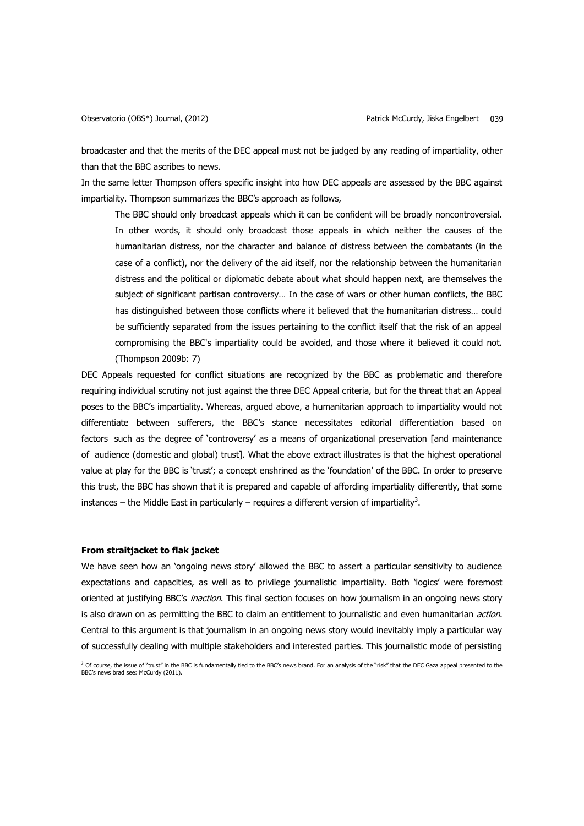broadcaster and that the merits of the DEC appeal must not be judged by any reading of impartiality, other than that the BBC ascribes to news.

In the same letter Thompson offers specific insight into how DEC appeals are assessed by the BBC against impartiality. Thompson summarizes the BBC's approach as follows,

The BBC should only broadcast appeals which it can be confident will be broadly noncontroversial. In other words, it should only broadcast those appeals in which neither the causes of the humanitarian distress, nor the character and balance of distress between the combatants (in the case of a conflict), nor the delivery of the aid itself, nor the relationship between the humanitarian distress and the political or diplomatic debate about what should happen next, are themselves the subject of significant partisan controversy… In the case of wars or other human conflicts, the BBC has distinguished between those conflicts where it believed that the humanitarian distress… could be sufficiently separated from the issues pertaining to the conflict itself that the risk of an appeal compromising the BBC's impartiality could be avoided, and those where it believed it could not. (Thompson 2009b: 7)

DEC Appeals requested for conflict situations are recognized by the BBC as problematic and therefore requiring individual scrutiny not just against the three DEC Appeal criteria, but for the threat that an Appeal poses to the BBC's impartiality. Whereas, argued above, a humanitarian approach to impartiality would not differentiate between sufferers, the BBC's stance necessitates editorial differentiation based on factors such as the degree of 'controversy' as a means of organizational preservation [and maintenance of audience (domestic and global) trust]. What the above extract illustrates is that the highest operational value at play for the BBC is 'trust'; a concept enshrined as the 'foundation' of the BBC. In order to preserve this trust, the BBC has shown that it is prepared and capable of affording impartiality differently, that some instances – the Middle East in particularly – requires a different version of impartiality<sup>3</sup>.

### **From straitjacket to flak jacket**

We have seen how an 'ongoing news story' allowed the BBC to assert a particular sensitivity to audience expectations and capacities, as well as to privilege journalistic impartiality. Both 'logics' were foremost oriented at justifying BBC's *inaction*. This final section focuses on how journalism in an ongoing news story is also drawn on as permitting the BBC to claim an entitlement to journalistic and even humanitarian action. Central to this argument is that journalism in an ongoing news story would inevitably imply a particular way of successfully dealing with multiple stakeholders and interested parties. This journalistic mode of persisting

<sup>&</sup>lt;sup>3</sup> Of course, the issue of "trust" in the BBC is fundamentally tied to the BBC's news brand. For an analysis of the "risk" that the DEC Gaza appeal presented to the<br>BBC's news brad see: McCurdy (2011).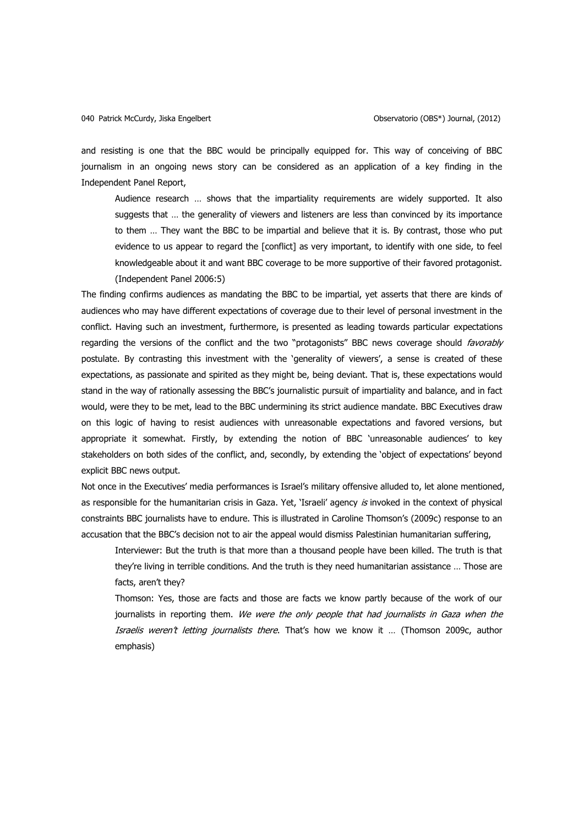and resisting is one that the BBC would be principally equipped for. This way of conceiving of BBC journalism in an ongoing news story can be considered as an application of a key finding in the Independent Panel Report,

Audience research … shows that the impartiality requirements are widely supported. It also suggests that … the generality of viewers and listeners are less than convinced by its importance to them … They want the BBC to be impartial and believe that it is. By contrast, those who put evidence to us appear to regard the [conflict] as very important, to identify with one side, to feel knowledgeable about it and want BBC coverage to be more supportive of their favored protagonist. (Independent Panel 2006:5)

The finding confirms audiences as mandating the BBC to be impartial, yet asserts that there are kinds of audiences who may have different expectations of coverage due to their level of personal investment in the conflict. Having such an investment, furthermore, is presented as leading towards particular expectations regarding the versions of the conflict and the two "protagonists" BBC news coverage should *favorably* postulate. By contrasting this investment with the 'generality of viewers', a sense is created of these expectations, as passionate and spirited as they might be, being deviant. That is, these expectations would stand in the way of rationally assessing the BBC's journalistic pursuit of impartiality and balance, and in fact would, were they to be met, lead to the BBC undermining its strict audience mandate. BBC Executives draw on this logic of having to resist audiences with unreasonable expectations and favored versions, but appropriate it somewhat. Firstly, by extending the notion of BBC 'unreasonable audiences' to key stakeholders on both sides of the conflict, and, secondly, by extending the 'object of expectations' beyond explicit BBC news output.

Not once in the Executives' media performances is Israel's military offensive alluded to, let alone mentioned, as responsible for the humanitarian crisis in Gaza. Yet, 'Israeli' agency is invoked in the context of physical constraints BBC journalists have to endure. This is illustrated in Caroline Thomson's (2009c) response to an accusation that the BBC's decision not to air the appeal would dismiss Palestinian humanitarian suffering,

Interviewer: But the truth is that more than a thousand people have been killed. The truth is that they're living in terrible conditions. And the truth is they need humanitarian assistance … Those are facts, aren't they?

Thomson: Yes, those are facts and those are facts we know partly because of the work of our journalists in reporting them. We were the only people that had journalists in Gaza when the Israelis weren't letting journalists there. That's how we know it … (Thomson 2009c, author emphasis)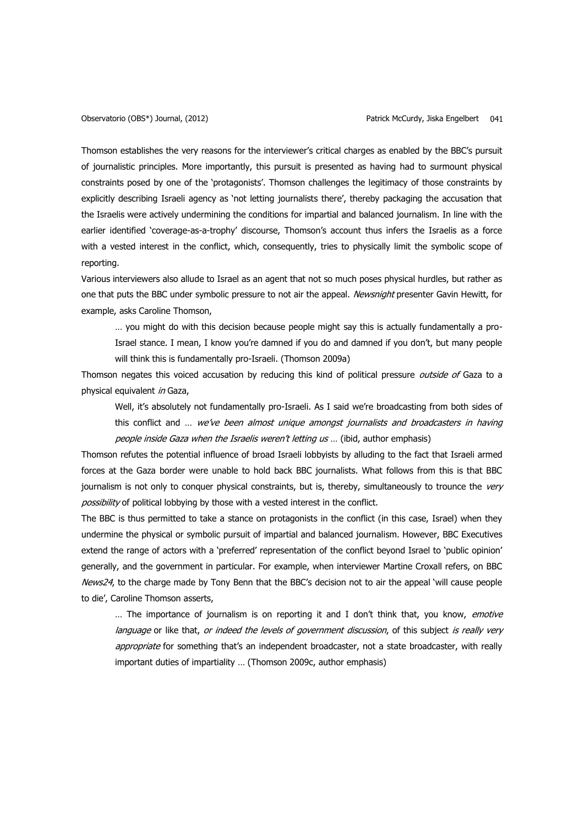Thomson establishes the very reasons for the interviewer's critical charges as enabled by the BBC's pursuit of journalistic principles. More importantly, this pursuit is presented as having had to surmount physical constraints posed by one of the 'protagonists'. Thomson challenges the legitimacy of those constraints by explicitly describing Israeli agency as 'not letting journalists there', thereby packaging the accusation that the Israelis were actively undermining the conditions for impartial and balanced journalism. In line with the earlier identified 'coverage-as-a-trophy' discourse, Thomson's account thus infers the Israelis as a force with a vested interest in the conflict, which, consequently, tries to physically limit the symbolic scope of reporting.

Various interviewers also allude to Israel as an agent that not so much poses physical hurdles, but rather as one that puts the BBC under symbolic pressure to not air the appeal. Newsnight presenter Gavin Hewitt, for example, asks Caroline Thomson,

… you might do with this decision because people might say this is actually fundamentally a pro-Israel stance. I mean, I know you're damned if you do and damned if you don't, but many people will think this is fundamentally pro-Israeli. (Thomson 2009a)

Thomson negates this voiced accusation by reducing this kind of political pressure *outside of* Gaza to a physical equivalent in Gaza,

Well, it's absolutely not fundamentally pro-Israeli. As I said we're broadcasting from both sides of this conflict and ... we've been almost unique amongst journalists and broadcasters in having people inside Gaza when the Israelis weren't letting us ... (ibid, author emphasis)

Thomson refutes the potential influence of broad Israeli lobbyists by alluding to the fact that Israeli armed forces at the Gaza border were unable to hold back BBC journalists. What follows from this is that BBC journalism is not only to conquer physical constraints, but is, thereby, simultaneously to trounce the very possibility of political lobbying by those with a vested interest in the conflict.

The BBC is thus permitted to take a stance on protagonists in the conflict (in this case, Israel) when they undermine the physical or symbolic pursuit of impartial and balanced journalism. However, BBC Executives extend the range of actors with a 'preferred' representation of the conflict beyond Israel to 'public opinion' generally, and the government in particular. For example, when interviewer Martine Croxall refers, on BBC News24, to the charge made by Tony Benn that the BBC's decision not to air the appeal 'will cause people to die', Caroline Thomson asserts,

... The importance of journalism is on reporting it and I don't think that, you know, *emotive* language or like that, or indeed the levels of government discussion, of this subject is really very appropriate for something that's an independent broadcaster, not a state broadcaster, with really important duties of impartiality … (Thomson 2009c, author emphasis)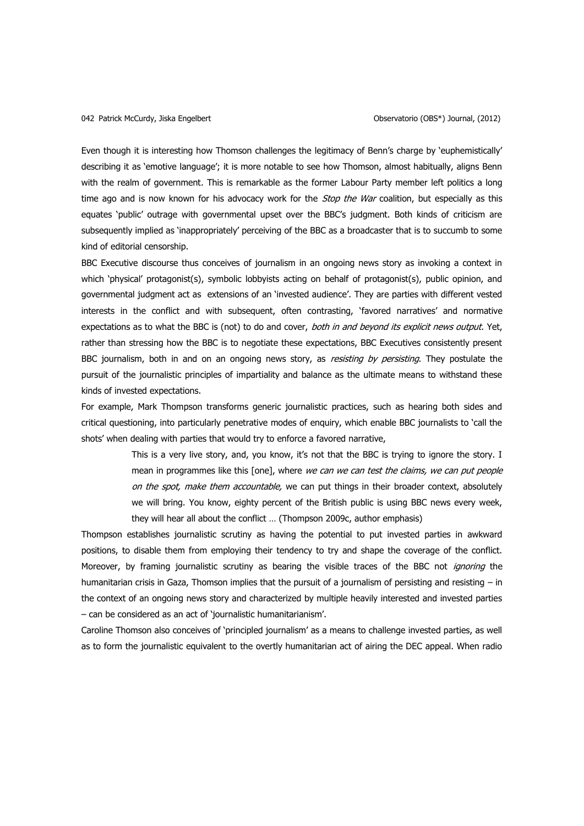Even though it is interesting how Thomson challenges the legitimacy of Benn's charge by 'euphemistically' describing it as 'emotive language'; it is more notable to see how Thomson, almost habitually, aligns Benn with the realm of government. This is remarkable as the former Labour Party member left politics a long time ago and is now known for his advocacy work for the *Stop the War* coalition, but especially as this equates 'public' outrage with governmental upset over the BBC's judgment. Both kinds of criticism are subsequently implied as 'inappropriately' perceiving of the BBC as a broadcaster that is to succumb to some kind of editorial censorship.

BBC Executive discourse thus conceives of journalism in an ongoing news story as invoking a context in which 'physical' protagonist(s), symbolic lobbyists acting on behalf of protagonist(s), public opinion, and governmental judgment act as extensions of an 'invested audience'. They are parties with different vested interests in the conflict and with subsequent, often contrasting, 'favored narratives' and normative expectations as to what the BBC is (not) to do and cover, both in and beyond its explicit news output. Yet, rather than stressing how the BBC is to negotiate these expectations, BBC Executives consistently present BBC journalism, both in and on an ongoing news story, as *resisting by persisting*. They postulate the pursuit of the journalistic principles of impartiality and balance as the ultimate means to withstand these kinds of invested expectations.

For example, Mark Thompson transforms generic journalistic practices, such as hearing both sides and critical questioning, into particularly penetrative modes of enquiry, which enable BBC journalists to 'call the shots' when dealing with parties that would try to enforce a favored narrative,

> This is a very live story, and, you know, it's not that the BBC is trying to ignore the story. I mean in programmes like this [one], where we can we can test the claims, we can put people on the spot, make them accountable, we can put things in their broader context, absolutely we will bring. You know, eighty percent of the British public is using BBC news every week, they will hear all about the conflict … (Thompson 2009c, author emphasis)

Thompson establishes journalistic scrutiny as having the potential to put invested parties in awkward positions, to disable them from employing their tendency to try and shape the coverage of the conflict. Moreover, by framing journalistic scrutiny as bearing the visible traces of the BBC not *ignoring* the humanitarian crisis in Gaza, Thomson implies that the pursuit of a journalism of persisting and resisting – in the context of an ongoing news story and characterized by multiple heavily interested and invested parties – can be considered as an act of 'journalistic humanitarianism'.

Caroline Thomson also conceives of 'principled journalism' as a means to challenge invested parties, as well as to form the journalistic equivalent to the overtly humanitarian act of airing the DEC appeal. When radio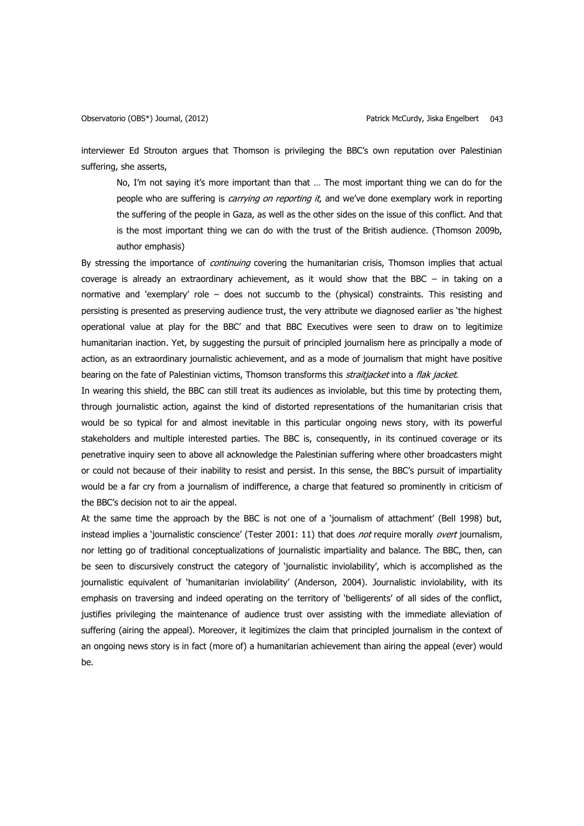interviewer Ed Strouton argues that Thomson is privileging the BBC's own reputation over Palestinian suffering, she asserts,

No, I'm not saying it's more important than that … The most important thing we can do for the people who are suffering is *carrying on reporting it*, and we've done exemplary work in reporting the suffering of the people in Gaza, as well as the other sides on the issue of this conflict. And that is the most important thing we can do with the trust of the British audience. (Thomson 2009b, author emphasis)

By stressing the importance of *continuing* covering the humanitarian crisis, Thomson implies that actual coverage is already an extraordinary achievement, as it would show that the BBC – in taking on a normative and 'exemplary' role – does not succumb to the (physical) constraints. This resisting and persisting is presented as preserving audience trust, the very attribute we diagnosed earlier as 'the highest operational value at play for the BBC' and that BBC Executives were seen to draw on to legitimize humanitarian inaction. Yet, by suggesting the pursuit of principled journalism here as principally a mode of action, as an extraordinary journalistic achievement, and as a mode of journalism that might have positive bearing on the fate of Palestinian victims, Thomson transforms this *straitjacket* into a flak jacket.

In wearing this shield, the BBC can still treat its audiences as inviolable, but this time by protecting them, through journalistic action, against the kind of distorted representations of the humanitarian crisis that would be so typical for and almost inevitable in this particular ongoing news story, with its powerful stakeholders and multiple interested parties. The BBC is, consequently, in its continued coverage or its penetrative inquiry seen to above all acknowledge the Palestinian suffering where other broadcasters might or could not because of their inability to resist and persist. In this sense, the BBC's pursuit of impartiality would be a far cry from a journalism of indifference, a charge that featured so prominently in criticism of the BBC's decision not to air the appeal.

At the same time the approach by the BBC is not one of a 'journalism of attachment' (Bell 1998) but, instead implies a 'journalistic conscience' (Tester 2001: 11) that does not require morally overt journalism, nor letting go of traditional conceptualizations of journalistic impartiality and balance. The BBC, then, can be seen to discursively construct the category of 'journalistic inviolability', which is accomplished as the journalistic equivalent of 'humanitarian inviolability' (Anderson, 2004). Journalistic inviolability, with its emphasis on traversing and indeed operating on the territory of 'belligerents' of all sides of the conflict, justifies privileging the maintenance of audience trust over assisting with the immediate alleviation of suffering (airing the appeal). Moreover, it legitimizes the claim that principled journalism in the context of an ongoing news story is in fact (more of) a humanitarian achievement than airing the appeal (ever) would be.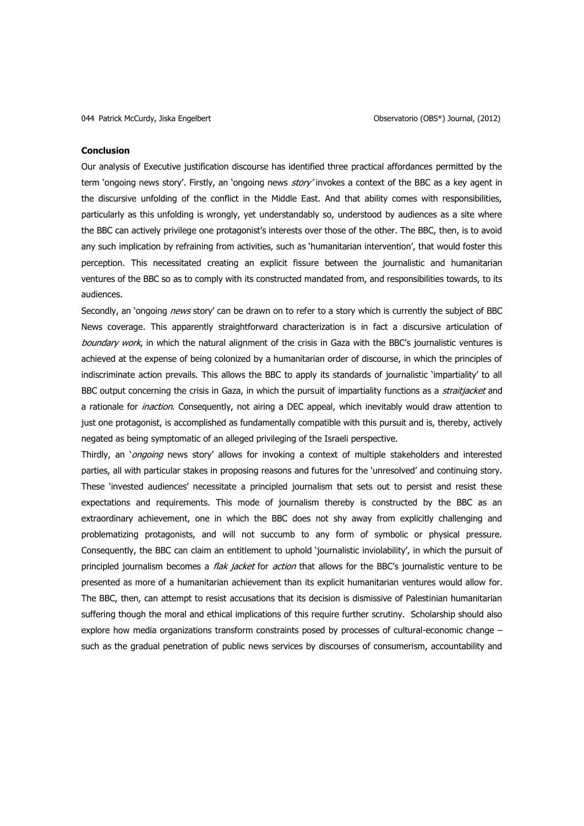#### **Conclusion**

Our analysis of Executive justification discourse has identified three practical affordances permitted by the term 'ongoing news story'. Firstly, an 'ongoing news story' invokes a context of the BBC as a key agent in the discursive unfolding of the conflict in the Middle East. And that ability comes with responsibilities, particularly as this unfolding is wrongly, yet understandably so, understood by audiences as a site where the BBC can actively privilege one protagonist's interests over those of the other. The BBC, then, is to avoid any such implication by refraining from activities, such as 'humanitarian intervention', that would foster this perception. This necessitated creating an explicit fissure between the journalistic and humanitarian ventures of the BBC so as to comply with its constructed mandated from, and responsibilities towards, to its audiences.

Secondly, an 'ongoing *news* story' can be drawn on to refer to a story which is currently the subject of BBC News coverage. This apparently straightforward characterization is in fact a discursive articulation of boundary work, in which the natural alignment of the crisis in Gaza with the BBC's journalistic ventures is achieved at the expense of being colonized by a humanitarian order of discourse, in which the principles of indiscriminate action prevails. This allows the BBC to apply its standards of journalistic 'impartiality' to all BBC output concerning the crisis in Gaza, in which the pursuit of impartiality functions as a *straitjacket* and a rationale for *inaction*. Consequently, not airing a DEC appeal, which inevitably would draw attention to just one protagonist, is accomplished as fundamentally compatible with this pursuit and is, thereby, actively negated as being symptomatic of an alleged privileging of the Israeli perspective.

Thirdly, an 'ongoing news story' allows for invoking a context of multiple stakeholders and interested parties, all with particular stakes in proposing reasons and futures for the 'unresolved' and continuing story. These 'invested audiences' necessitate a principled journalism that sets out to persist and resist these expectations and requirements. This mode of journalism thereby is constructed by the BBC as an extraordinary achievement, one in which the BBC does not shy away from explicitly challenging and problematizing protagonists, and will not succumb to any form of symbolic or physical pressure. Consequently, the BBC can claim an entitlement to uphold 'journalistic inviolability', in which the pursuit of principled journalism becomes a *flak jacket* for *action* that allows for the BBC's journalistic venture to be presented as more of a humanitarian achievement than its explicit humanitarian ventures would allow for. The BBC, then, can attempt to resist accusations that its decision is dismissive of Palestinian humanitarian suffering though the moral and ethical implications of this require further scrutiny. Scholarship should also explore how media organizations transform constraints posed by processes of cultural-economic change – such as the gradual penetration of public news services by discourses of consumerism, accountability and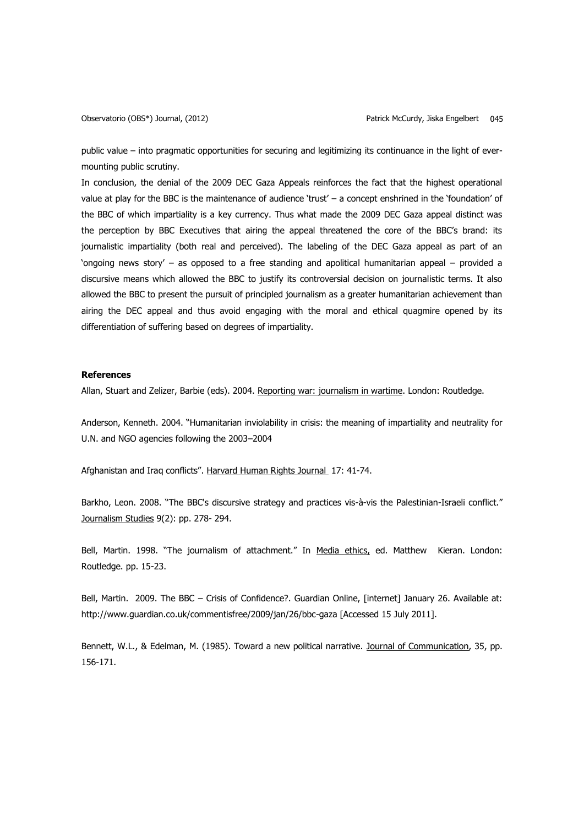public value – into pragmatic opportunities for securing and legitimizing its continuance in the light of evermounting public scrutiny.

In conclusion, the denial of the 2009 DEC Gaza Appeals reinforces the fact that the highest operational value at play for the BBC is the maintenance of audience 'trust' – a concept enshrined in the 'foundation' of the BBC of which impartiality is a key currency. Thus what made the 2009 DEC Gaza appeal distinct was the perception by BBC Executives that airing the appeal threatened the core of the BBC's brand: its journalistic impartiality (both real and perceived). The labeling of the DEC Gaza appeal as part of an 'ongoing news story' – as opposed to a free standing and apolitical humanitarian appeal – provided a discursive means which allowed the BBC to justify its controversial decision on journalistic terms. It also allowed the BBC to present the pursuit of principled journalism as a greater humanitarian achievement than airing the DEC appeal and thus avoid engaging with the moral and ethical quagmire opened by its differentiation of suffering based on degrees of impartiality.

### **References**

Allan, Stuart and Zelizer, Barbie (eds). 2004. Reporting war: journalism in wartime. London: Routledge.

Anderson, Kenneth. 2004. "Humanitarian inviolability in crisis: the meaning of impartiality and neutrality for U.N. and NGO agencies following the 2003–2004

Afghanistan and Iraq conflicts". Harvard Human Rights Journal 17: 41-74.

Barkho, Leon. 2008. "The BBC's discursive strategy and practices vis-à-vis the Palestinian-Israeli conflict." Journalism Studies 9(2): pp. 278- 294.

Bell, Martin. 1998. "The journalism of attachment." In Media ethics, ed. Matthew Kieran. London: Routledge. pp. 15-23.

Bell, Martin. 2009. The BBC – Crisis of Confidence?. Guardian Online, [internet] January 26. Available at: http://www.guardian.co.uk/commentisfree/2009/jan/26/bbc-gaza [Accessed 15 July 2011].

Bennett, W.L., & Edelman, M. (1985). Toward a new political narrative. Journal of Communication, 35, pp. 156-171.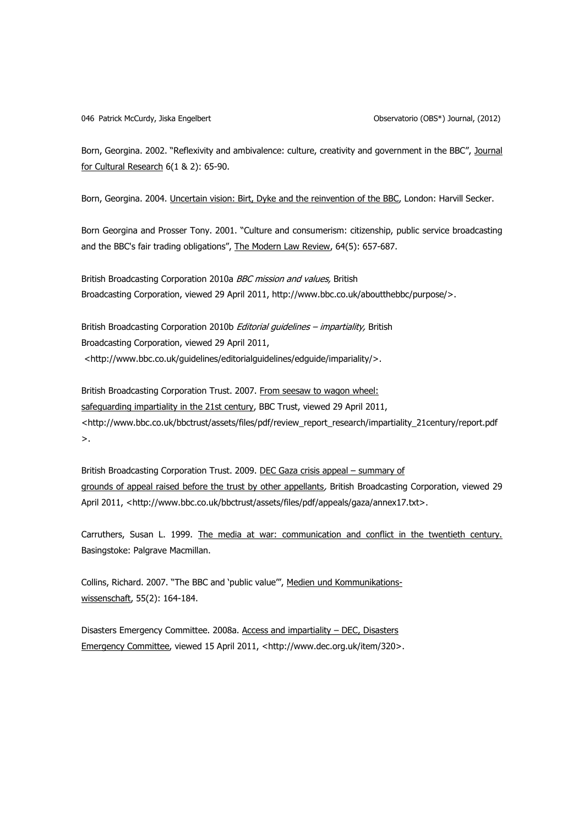Born, Georgina. 2002. "Reflexivity and ambivalence: culture, creativity and government in the BBC", Journal for Cultural Research 6(1 & 2): 65-90.

Born, Georgina. 2004. Uncertain vision: Birt, Dyke and the reinvention of the BBC, London: Harvill Secker.

Born Georgina and Prosser Tony. 2001. "Culture and consumerism: citizenship, public service broadcasting and the BBC's fair trading obligations", The Modern Law Review, 64(5): 657-687.

British Broadcasting Corporation 2010a *BBC mission and values*, British Broadcasting Corporation, viewed 29 April 2011, http://www.bbc.co.uk/aboutthebbc/purpose/>.

British Broadcasting Corporation 2010b Editorial guidelines - impartiality, British Broadcasting Corporation, viewed 29 April 2011, <http://www.bbc.co.uk/guidelines/editorialguidelines/edguide/impariality/>.

British Broadcasting Corporation Trust. 2007. From seesaw to wagon wheel: safequarding impartiality in the 21st century, BBC Trust, viewed 29 April 2011, <http://www.bbc.co.uk/bbctrust/assets/files/pdf/review\_report\_research/impartiality\_21century/report.pdf >.

British Broadcasting Corporation Trust. 2009. DEC Gaza crisis appeal – summary of grounds of appeal raised before the trust by other appellants, British Broadcasting Corporation, viewed 29 April 2011, <http://www.bbc.co.uk/bbctrust/assets/files/pdf/appeals/gaza/annex17.txt>.

Carruthers, Susan L. 1999. The media at war: communication and conflict in the twentieth century. Basingstoke: Palgrave Macmillan.

Collins, Richard. 2007. "The BBC and 'public value'", Medien und Kommunikationswissenschaft, 55(2): 164-184.

Disasters Emergency Committee. 2008a. Access and impartiality – DEC, Disasters Emergency Committee, viewed 15 April 2011, <http://www.dec.org.uk/item/320>.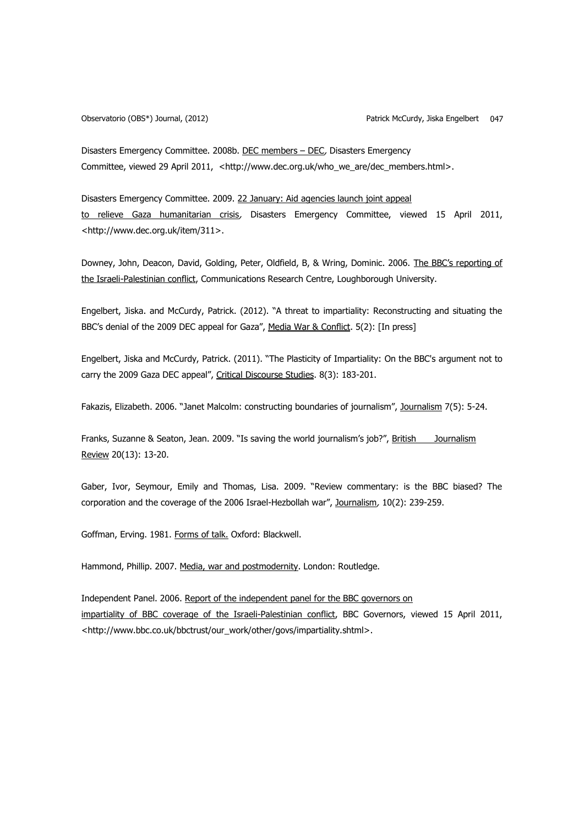Disasters Emergency Committee. 2008b. DEC members – DEC, Disasters Emergency Committee, viewed 29 April 2011, <http://www.dec.org.uk/who\_we\_are/dec\_members.html>.

Disasters Emergency Committee. 2009. 22 January: Aid agencies launch joint appeal to relieve Gaza humanitarian crisis, Disasters Emergency Committee, viewed 15 April 2011, <http://www.dec.org.uk/item/311>.

Downey, John, Deacon, David, Golding, Peter, Oldfield, B, & Wring, Dominic. 2006. The BBC's reporting of the Israeli-Palestinian conflict, Communications Research Centre, Loughborough University.

Engelbert, Jiska. and McCurdy, Patrick. (2012). "A threat to impartiality: Reconstructing and situating the BBC's denial of the 2009 DEC appeal for Gaza", Media War & Conflict. 5(2): [In press]

Engelbert, Jiska and McCurdy, Patrick. (2011). "The Plasticity of Impartiality: On the BBC's argument not to carry the 2009 Gaza DEC appeal", Critical Discourse Studies. 8(3): 183-201.

Fakazis, Elizabeth. 2006. "Janet Malcolm: constructing boundaries of journalism", Journalism 7(5): 5-24.

Franks, Suzanne & Seaton, Jean. 2009. "Is saving the world journalism's job?", British Journalism Review 20(13): 13-20.

Gaber, Ivor, Seymour, Emily and Thomas, Lisa. 2009. "Review commentary: is the BBC biased? The corporation and the coverage of the 2006 Israel-Hezbollah war", Journalism, 10(2): 239-259.

Goffman, Erving. 1981. Forms of talk. Oxford: Blackwell.

Hammond, Phillip. 2007. Media, war and postmodernity. London: Routledge.

Independent Panel. 2006. Report of the independent panel for the BBC governors on impartiality of BBC coverage of the Israeli-Palestinian conflict, BBC Governors, viewed 15 April 2011, <http://www.bbc.co.uk/bbctrust/our\_work/other/govs/impartiality.shtml>.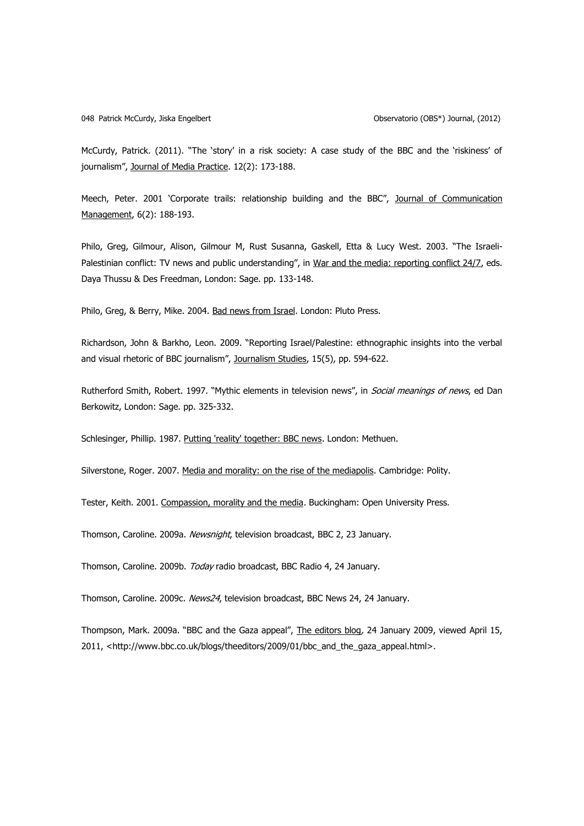#### 048 Patrick McCurdy, Jiska Engelbert Observatorio (OBS\*) Journal, (2012)

McCurdy, Patrick. (2011). "The 'story' in a risk society: A case study of the BBC and the 'riskiness' of journalism", Journal of Media Practice. 12(2): 173-188.

Meech, Peter. 2001 'Corporate trails: relationship building and the BBC", Journal of Communication Management, 6(2): 188-193.

Philo, Greg, Gilmour, Alison, Gilmour M, Rust Susanna, Gaskell, Etta & Lucy West. 2003. "The Israeli-Palestinian conflict: TV news and public understanding", in War and the media: reporting conflict 24/7, eds. Daya Thussu & Des Freedman, London: Sage. pp. 133-148.

Philo, Greg, & Berry, Mike. 2004. Bad news from Israel. London: Pluto Press.

Richardson, John & Barkho, Leon. 2009. "Reporting Israel/Palestine: ethnographic insights into the verbal and visual rhetoric of BBC journalism", Journalism Studies, 15(5), pp. 594-622.

Rutherford Smith, Robert. 1997. "Mythic elements in television news", in Social meanings of news, ed Dan Berkowitz, London: Sage. pp. 325-332.

Schlesinger, Phillip. 1987. Putting 'reality' together: BBC news. London: Methuen.

Silverstone, Roger. 2007. Media and morality: on the rise of the mediapolis. Cambridge: Polity.

Tester, Keith. 2001. Compassion, morality and the media. Buckingham: Open University Press.

Thomson, Caroline. 2009a. Newsnight, television broadcast, BBC 2, 23 January.

Thomson, Caroline. 2009b. Today radio broadcast, BBC Radio 4, 24 January.

Thomson, Caroline. 2009c. News24, television broadcast, BBC News 24, 24 January.

Thompson, Mark. 2009a. "BBC and the Gaza appeal", The editors blog, 24 January 2009, viewed April 15, 2011, <http://www.bbc.co.uk/blogs/theeditors/2009/01/bbc\_and\_the\_gaza\_appeal.html>.